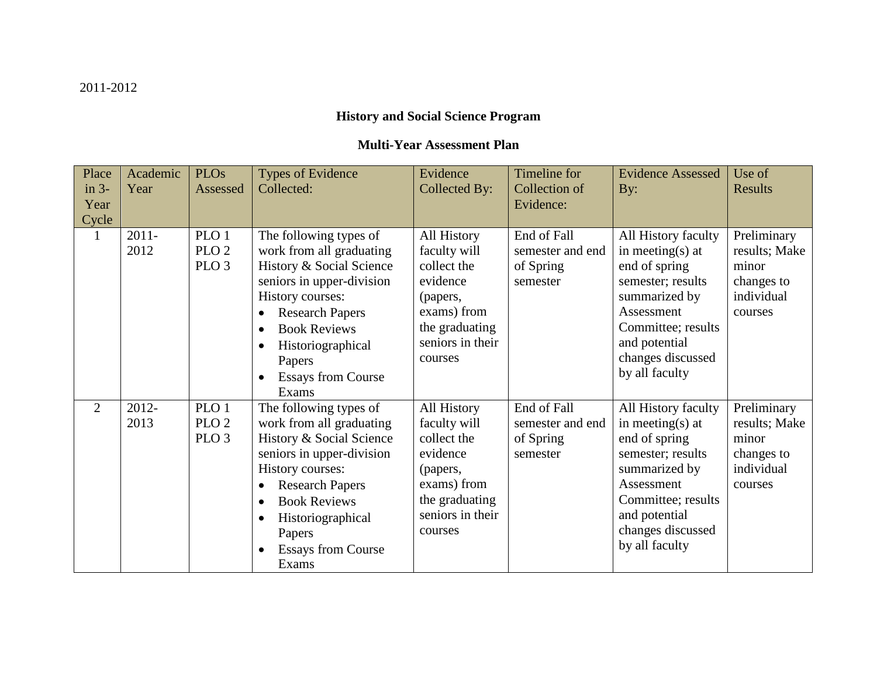## **History and Social Science Program**

## **Multi-Year Assessment Plan**

| Place<br>$in 3-$<br>Year<br>Cycle | Academic<br>Year | <b>PLOs</b><br>Assessed                                  | <b>Types of Evidence</b><br>Collected:                                                                                                                                                                                                                                          | Evidence<br>Collected By:                                                                                                          | Timeline for<br>Collection of<br>Evidence:               | <b>Evidence Assessed</b><br>By:                                                                                                                                                            | Use of<br><b>Results</b>                                                     |
|-----------------------------------|------------------|----------------------------------------------------------|---------------------------------------------------------------------------------------------------------------------------------------------------------------------------------------------------------------------------------------------------------------------------------|------------------------------------------------------------------------------------------------------------------------------------|----------------------------------------------------------|--------------------------------------------------------------------------------------------------------------------------------------------------------------------------------------------|------------------------------------------------------------------------------|
| 1                                 | $2011 -$<br>2012 | PLO <sub>1</sub><br>PLO <sub>2</sub><br>PLO <sub>3</sub> | The following types of<br>work from all graduating<br>History & Social Science<br>seniors in upper-division<br>History courses:<br><b>Research Papers</b><br><b>Book Reviews</b><br>Historiographical<br>Papers<br><b>Essays from Course</b><br>Exams                           | All History<br>faculty will<br>collect the<br>evidence<br>(papers,<br>exams) from<br>the graduating<br>seniors in their<br>courses | End of Fall<br>semester and end<br>of Spring<br>semester | All History faculty<br>in meeting(s) at<br>end of spring<br>semester; results<br>summarized by<br>Assessment<br>Committee; results<br>and potential<br>changes discussed<br>by all faculty | Preliminary<br>results; Make<br>minor<br>changes to<br>individual<br>courses |
| 2                                 | 2012-<br>2013    | PLO <sub>1</sub><br>PLO <sub>2</sub><br>PLO <sub>3</sub> | The following types of<br>work from all graduating<br>History & Social Science<br>seniors in upper-division<br>History courses:<br><b>Research Papers</b><br>$\bullet$<br><b>Book Reviews</b><br>$\bullet$<br>Historiographical<br>Papers<br><b>Essays from Course</b><br>Exams | All History<br>faculty will<br>collect the<br>evidence<br>(papers,<br>exams) from<br>the graduating<br>seniors in their<br>courses | End of Fall<br>semester and end<br>of Spring<br>semester | All History faculty<br>in meeting(s) at<br>end of spring<br>semester; results<br>summarized by<br>Assessment<br>Committee; results<br>and potential<br>changes discussed<br>by all faculty | Preliminary<br>results; Make<br>minor<br>changes to<br>individual<br>courses |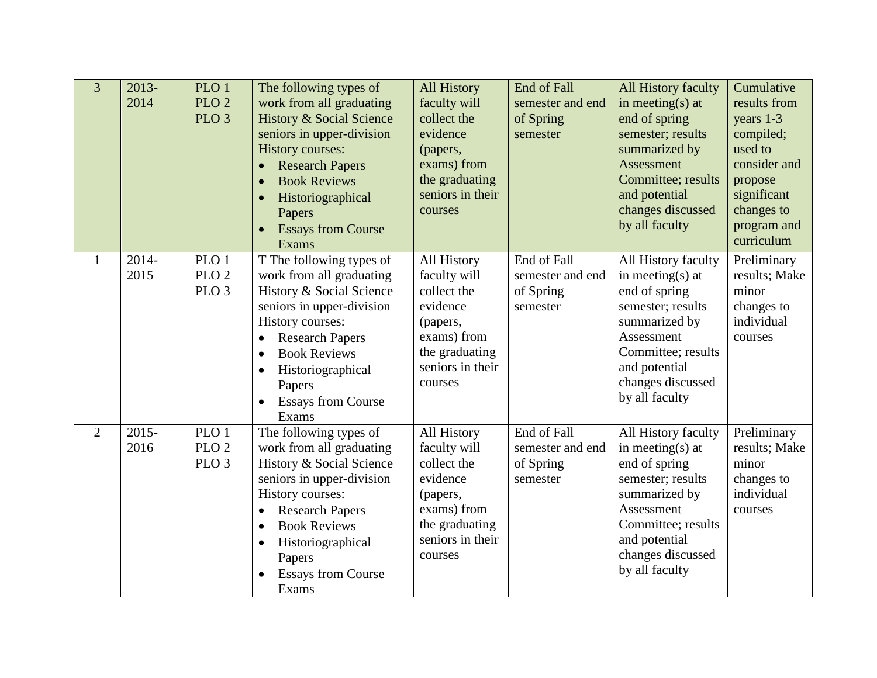| $\overline{3}$ | $2013-$<br>2014  | PLO 1<br>PLO <sub>2</sub><br>PLO <sub>3</sub> | The following types of<br>work from all graduating<br><b>History &amp; Social Science</b><br>seniors in upper-division<br><b>History courses:</b><br><b>Research Papers</b><br><b>Book Reviews</b><br>Historiographical<br>Papers<br><b>Essays from Course</b><br>Exams           | <b>All History</b><br>faculty will<br>collect the<br>evidence<br>(papers,<br>exams) from<br>the graduating<br>seniors in their<br>courses | End of Fall<br>semester and end<br>of Spring<br>semester | All History faculty<br>in meeting(s) at<br>end of spring<br>semester; results<br>summarized by<br>Assessment<br>Committee; results<br>and potential<br>changes discussed<br>by all faculty | Cumulative<br>results from<br>years 1-3<br>compiled;<br>used to<br>consider and<br>propose<br>significant<br>changes to<br>program and<br>curriculum |
|----------------|------------------|-----------------------------------------------|-----------------------------------------------------------------------------------------------------------------------------------------------------------------------------------------------------------------------------------------------------------------------------------|-------------------------------------------------------------------------------------------------------------------------------------------|----------------------------------------------------------|--------------------------------------------------------------------------------------------------------------------------------------------------------------------------------------------|------------------------------------------------------------------------------------------------------------------------------------------------------|
| 1              | 2014-<br>2015    | PLO 1<br>PLO <sub>2</sub><br>PLO <sub>3</sub> | T The following types of<br>work from all graduating<br>History & Social Science<br>seniors in upper-division<br>History courses:<br><b>Research Papers</b><br><b>Book Reviews</b><br>$\bullet$<br>Historiographical<br>Papers<br><b>Essays from Course</b><br>$\bullet$<br>Exams | All History<br>faculty will<br>collect the<br>evidence<br>(papers,<br>exams) from<br>the graduating<br>seniors in their<br>courses        | End of Fall<br>semester and end<br>of Spring<br>semester | All History faculty<br>in meeting(s) at<br>end of spring<br>semester; results<br>summarized by<br>Assessment<br>Committee; results<br>and potential<br>changes discussed<br>by all faculty | Preliminary<br>results; Make<br>minor<br>changes to<br>individual<br>courses                                                                         |
| $\overline{2}$ | $2015 -$<br>2016 | PLO 1<br>PLO <sub>2</sub><br>PLO <sub>3</sub> | The following types of<br>work from all graduating<br>History & Social Science<br>seniors in upper-division<br>History courses:<br><b>Research Papers</b><br>$\bullet$<br><b>Book Reviews</b><br>$\bullet$<br>Historiographical<br>Papers<br><b>Essays from Course</b><br>Exams   | All History<br>faculty will<br>collect the<br>evidence<br>(papers,<br>exams) from<br>the graduating<br>seniors in their<br>courses        | End of Fall<br>semester and end<br>of Spring<br>semester | All History faculty<br>in meeting(s) at<br>end of spring<br>semester; results<br>summarized by<br>Assessment<br>Committee; results<br>and potential<br>changes discussed<br>by all faculty | Preliminary<br>results; Make<br>minor<br>changes to<br>individual<br>courses                                                                         |